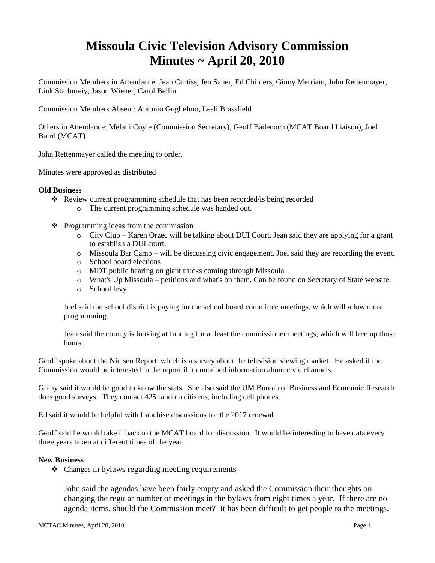# **Missoula Civic Television Advisory Commission Minutes ~ April 20, 2010**

Commission Members in Attendance: Jean Curtiss, Jen Sauer, Ed Childers, Ginny Merriam, John Rettenmayer, Link Starbureiy, Jason Wiener, Carol Bellin

Commission Members Absent: Antonio Guglielmo, Lesli Brassfield

Others in Attendance: Melani Coyle (Commission Secretary), Geoff Badenoch (MCAT Board Liaison), Joel Baird (MCAT)

John Rettenmayer called the meeting to order.

Minutes were approved as distributed

## **Old Business**

- Review current programming schedule that has been recorded/is being recorded
	- o The current programming schedule was handed out.
- $\triangleleft$  Programming ideas from the commission
	- o City Club Karen Orzec will be talking about DUI Court. Jean said they are applying for a grant to establish a DUI court.
	- o Missoula Bar Camp will be discussing civic engagement. Joel said they are recording the event.
	- o School board elections
	- o MDT public hearing on giant trucks coming through Missoula
	- o What's Up Missoula petitions and what's on them. Can be found on Secretary of State website.
	- o School levy

Joel said the school district is paying for the school board committee meetings, which will allow more programming.

Jean said the county is looking at funding for at least the commissioner meetings, which will free up those hours.

Geoff spoke about the Nielsen Report, which is a survey about the television viewing market. He asked if the Commission would be interested in the report if it contained information about civic channels.

Ginny said it would be good to know the stats. She also said the UM Bureau of Business and Economic Research does good surveys. They contact 425 random citizens, including cell phones.

Ed said it would be helpful with franchise discussions for the 2017 renewal.

Geoff said he would take it back to the MCAT board for discussion. It would be interesting to have data every three years taken at different times of the year.

#### **New Business**

 $\triangleleft$  Changes in bylaws regarding meeting requirements

John said the agendas have been fairly empty and asked the Commission their thoughts on changing the regular number of meetings in the bylaws from eight times a year. If there are no agenda items, should the Commission meet? It has been difficult to get people to the meetings.